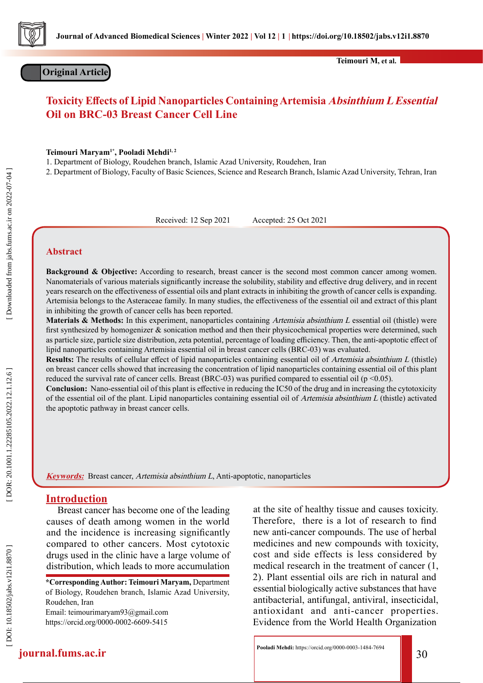

**Original Article**

**Teimouri M, et al.**

# **Toxicity Effects of Lipid Nanoparticles Containing Artemisia Absinthium L Essential Oil on BRC-03 Breast Cancer Cell Line**

**Teimouri Maryam1\*, Pooladi Mehdi1, 2**

1. Department of Biology, Roudehen branch, Islamic Azad University, Roudehen, Iran

2. Department of Biology, Faculty of Basic Sciences, Science and Research Branch, Islamic Azad University, Tehran, Iran

Received: 12 Sep 2021 Accepted: 25 Oct 2021

## **Abstract**

**Background & Objective:** According to research, breast cancer is the second most common cancer among women. Nanomaterials of various materials significantly increase the solubility, stability and effective drug delivery, and in recent years research on the effectiveness of essential oils and plant extracts in inhibiting the growth of cancer cells is expanding. Artemisia belongs to the Asteraceae family. In many studies, the effectiveness of the essential oil and extract of this plant in inhibiting the growth of cancer cells has been reported.

**Materials & Methods:** In this experiment, nanoparticles containing Artemisia absinthium L essential oil (thistle) were first synthesized by homogenizer & sonication method and then their physicochemical properties were determined, such as particle size, particle size distribution, zeta potential, percentage of loading efficiency. Then, the anti-apoptotic effect of lipid nanoparticles containing Artemisia essential oil in breast cancer cells (BRC-03) was evaluated.

**Results:** The results of cellular effect of lipid nanoparticles containing essential oil of Artemisia absinthium L (thistle) on breast cancer cells showed that increasing the concentration of lipid nanoparticles containing essential oil of this plant reduced the survival rate of cancer cells. Breast (BRC-03) was purified compared to essential oil ( $p \le 0.05$ ).

**Conclusion:** Nano-essential oil of this plant is effective in reducing the IC50 of the drug and in increasing the cytotoxicity of the essential oil of the plant. Lipid nanoparticles containing essential oil of Artemisia absinthium L (thistle) activated the apoptotic pathway in breast cancer cells.

**Keywords:** Breast cancer, Artemisia absinthium L, Anti-apoptotic, nanoparticles

## **Introduction**

Breast cancer has become one of the leading causes of death among women in the world and the incidence is increasing significantly compared to other cancers. Most cytotoxic drugs used in the clinic have a large volume of distribution, which leads to more accumulation

**\*Corresponding Author: Teimouri Maryam,** Department of Biology, Roudehen branch, Islamic Azad University, Roudehen, Iran Email: teimourimaryam93@gmail.com https://orcid.org/0000-0002-6609-5415

at the site of healthy tissue and causes toxicity. Therefore, there is a lot of research to find new anti-cancer compounds. The use of herbal medicines and new compounds with toxicity, cost and side effects is less considered by medical research in the treatment of cancer (1, 2). Plant essential oils are rich in natural and essential biologically active substances that have antibacterial, antifungal, antiviral, insecticidal, antioxidant and anti-cancer properties. Evidence from the World Health Organization

**journal.fums.ac.ir** 30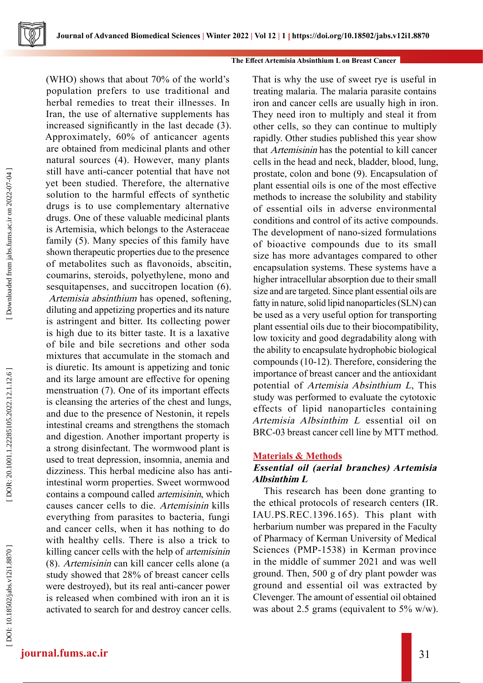(WHO) shows that about 70% of the world's population prefers to use traditional and herbal remedies to treat their illnesses. In Iran, the use of alternative supplements has increased significantly in the last decade (3). Approximately, 60% of anticancer agents are obtained from medicinal plants and other natural sources (4). However, many plants still have anti-cancer potential that have not yet been studied. Therefore, the alternative solution to the harmful effects of synthetic drugs is to use complementary alternative drugs. One of these valuable medicinal plants is Artemisia, which belongs to the Asteraceae family (5). Many species of this family have shown therapeutic properties due to the presence of metabolites such as flavonoids, abscitin, coumarins, steroids, polyethylene, mono and sesquitapenses, and succitropen location (6). Artemisia absinthium has opened, softening, diluting and appetizing properties and its nature is astringent and bitter. Its collecting power is high due to its bitter taste. It is a laxative of bile and bile secretions and other soda mixtures that accumulate in the stomach and is diuretic. Its amount is appetizing and tonic and its large amount are effective for opening menstruation (7). One of its important effects is cleansing the arteries of the chest and lungs, and due to the presence of Nestonin, it repels intestinal creams and strengthens the stomach and digestion. Another important property is a strong disinfectant. The wormwood plant is used to treat depression, insomnia, anemia and dizziness. This herbal medicine also has antiintestinal worm properties. Sweet wormwood contains a compound called artemisinin, which causes cancer cells to die. Artemisinin kills everything from parasites to bacteria, fungi and cancer cells, when it has nothing to do with healthy cells. There is also a trick to killing cancer cells with the help of artemisinin (8). Artemisinin can kill cancer cells alone (a study showed that 28% of breast cancer cells were destroyed), but its real anti-cancer power is released when combined with iron an it is activated to search for and destroy cancer cells. That is why the use of sweet rye is useful in treating malaria. The malaria parasite contains iron and cancer cells are usually high in iron. They need iron to multiply and steal it from other cells, so they can continue to multiply rapidly. Other studies published this year show that Artemisinin has the potential to kill cancer cells in the head and neck, bladder, blood, lung, prostate, colon and bone (9). Encapsulation of plant essential oils is one of the most effective methods to increase the solubility and stability of essential oils in adverse environmental conditions and control of its active compounds. The development of nano-sized formulations of bioactive compounds due to its small size has more advantages compared to other encapsulation systems. These systems have a higher intracellular absorption due to their small size and are targeted. Since plant essential oils are fatty in nature, solid lipid nanoparticles (SLN) can be used as a very useful option for transporting plant essential oils due to their biocompatibility, low toxicity and good degradability along with the ability to encapsulate hydrophobic biological compounds (10-12). Therefore, considering the importance of breast cancer and the antioxidant potential of Artemisia Absinthium L, This study was performed to evaluate the cytotoxic effects of lipid nanoparticles containing Artemisia Albsinthim L essential oil on BRC-03 breast cancer cell line by MTT method.

## **Materials & Methods**

# **Essential oil (aerial branches) Artemisia Albsinthim L**

This research has been done granting to the ethical protocols of research centers (IR. IAU.PS.REC.1396.165). This plant with herbarium number was prepared in the Faculty of Pharmacy of Kerman University of Medical Sciences (PMP-1538) in Kerman province in the middle of summer 2021 and was well ground. Then, 500 g of dry plant powder was ground and essential oil was extracted by Clevenger. The amount of essential oil obtained was about 2.5 grams (equivalent to 5% w/w).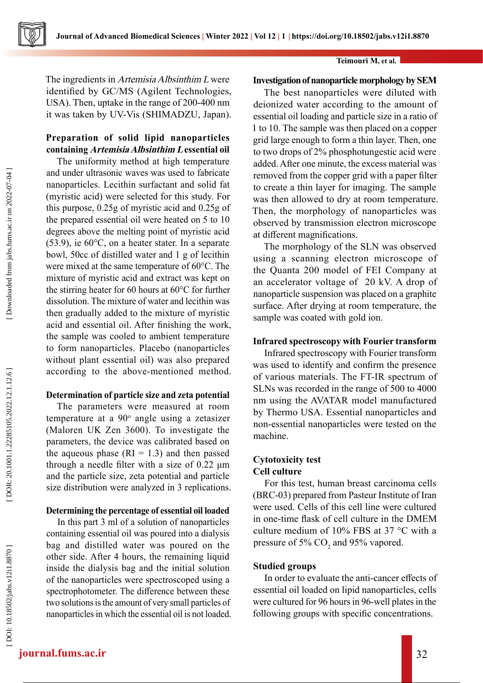

The ingredients in Artemisia Albsinthim L were identified by GC/MS (Agilent Technologies, USA). Then, uptake in the range of 200-400 nm it was taken by UV-Vis (SHIMADZU, Japan).

## **Preparation of solid lipid nanoparticles containing Artemisia Albsinthim L essential oil**

The uniformity method at high temperature and under ultrasonic waves was used to fabricate nanoparticles. Lecithin surfactant and solid fat (myristic acid) were selected for this study. For this purpose, 0.25g of myristic acid and 0.25g of the prepared essential oil were heated on 5 to 10 degrees above the melting point of myristic acid (53.9), ie 60°C, on a heater stater. In a separate bowl, 50cc of distilled water and 1 g of lecithin were mixed at the same temperature of 60°C. The mixture of myristic acid and extract was kept on the stirring heater for 60 hours at 60°C for further dissolution. The mixture of water and lecithin was then gradually added to the mixture of myristic acid and essential oil. After finishing the work, the sample was cooled to ambient temperature to form nanoparticles. Placebo (nanoparticles without plant essential oil) was also prepared according to the above-mentioned method.

## **Determination of particle size and zeta potential**

The parameters were measured at room temperature at a 90° angle using a zetasizer (Maloren UK Zen 3600). To investigate the parameters, the device was calibrated based on the aqueous phase  $(RI = 1.3)$  and then passed through a needle filter with a size of 0.22 μm and the particle size, zeta potential and particle size distribution were analyzed in 3 replications.

## **Determining the percentage of essential oil loaded**

In this part 3 ml of a solution of nanoparticles containing essential oil was poured into a dialysis bag and distilled water was poured on the other side. After 4 hours, the remaining liquid inside the dialysis bag and the initial solution of the nanoparticles were spectroscoped using a spectrophotometer. The difference between these two solutions is the amount of very small particles of nanoparticles in which the essential oil is not loaded.

#### **Teimouri M, et al.**

## **Investigation of nanoparticle morphology by SEM**

The best nanoparticles were diluted with deionized water according to the amount of essential oil loading and particle size in a ratio of 1 to 10. The sample was then placed on a copper grid large enough to form a thin layer. Then, one to two drops of 2% phosphotungestic acid were added. After one minute, the excess material was removed from the copper grid with a paper filter to create a thin layer for imaging. The sample was then allowed to dry at room temperature. Then, the morphology of nanoparticles was observed by transmission electron microscope at different magnifications.

The morphology of the SLN was observed using a scanning electron microscope of the Quanta 200 model of FEI Company at an accelerator voltage of 20 kV. A drop of nanoparticle suspension was placed on a graphite surface. After drying at room temperature, the sample was coated with gold ion.

## **Infrared spectroscopy with Fourier transform**

Infrared spectroscopy with Fourier transform was used to identify and confirm the presence of various materials. The FT-IR spectrum of SLNs was recorded in the range of 500 to 4000 nm using the AVATAR model manufactured by Thermo USA. Essential nanoparticles and non-essential nanoparticles were tested on the machine.

## **Cytotoxicity test Cell culture**

For this test, human breast carcinoma cells (BRC-03) prepared from Pasteur Institute of Iran were used. Cells of this cell line were cultured in one-time flask of cell culture in the DMEM culture medium of 10% FBS at 37 °C with a pressure of 5%  $\mathrm{CO}_2$  and 95% vapored.

## **Studied groups**

In order to evaluate the anti-cancer effects of essential oil loaded on lipid nanoparticles, cells were cultured for 96 hours in 96-well plates in the following groups with specific concentrations.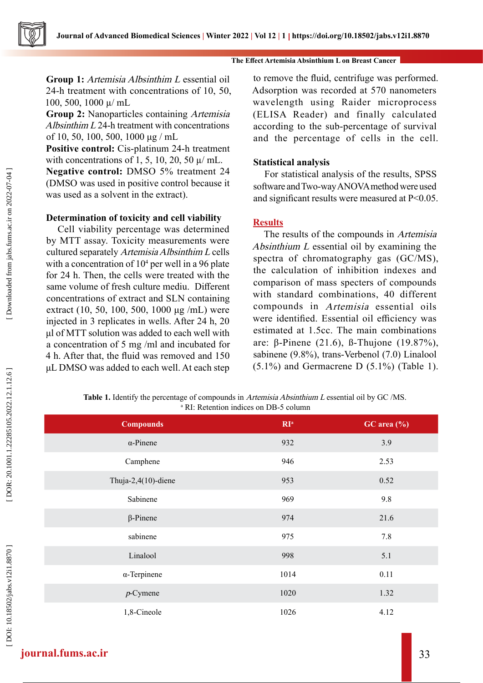**Group 1:** Artemisia Albsinthim L essential oil 24-h treatment with concentrations of 10, 50, 100, 500, 1000 µ/ mL

**Group 2:** Nanoparticles containing Artemisia Albsinthim L 24-h treatment with concentrations of 10, 50, 100, 500, 1000 μg / mL

**Positive control:** Cis-platinum 24-h treatment with concentrations of 1, 5, 10, 20, 50  $\mu$ / mL.

**Negative control:** DMSO 5% treatment 24 (DMSO was used in positive control because it was used as a solvent in the extract).

### **Determination of toxicity and cell viability**

Cell viability percentage was determined by MTT assay. Toxicity measurements were cultured separately Artemisia Albsinthim L cells with a concentration of  $10<sup>4</sup>$  per well in a 96 plate for 24 h. Then, the cells were treated with the same volume of fresh culture mediu. Different concentrations of extract and SLN containing extract (10, 50, 100, 500, 1000 μg /mL) were injected in 3 replicates in wells. After 24 h, 20 μl of MTT solution was added to each well with a concentration of 5 mg /ml and incubated for 4 h. After that, the fluid was removed and 150 μL DMSO was added to each well. At each step

to remove the fluid, centrifuge was performed. Adsorption was recorded at 570 nanometers wavelength using Raider microprocess (ELISA Reader) and finally calculated according to the sub-percentage of survival and the percentage of cells in the cell.

#### **Statistical analysis**

For statistical analysis of the results, SPSS software and Two-way ANOVA method were used and significant results were measured at P<0.05.

## **Results**

The results of the compounds in Artemisia Absinthium L essential oil by examining the spectra of chromatography gas (GC/MS), the calculation of inhibition indexes and comparison of mass specters of compounds with standard combinations, 40 different compounds in Artemisia essential oils were identified. Essential oil efficiency was estimated at 1.5cc. The main combinations are: β-Pinene (21.6), ß-Thujone (19.87%), sabinene (9.8%), trans-Verbenol (7.0) Linalool  $(5.1\%)$  and Germacrene D  $(5.1\%)$  (Table 1).

**Table 1.** Identify the percentage of compounds in Artemisia Absinthium L essential oil by GC /MS. <sup>a</sup> RI: Retention indices on DB-5 column

| <b>Compounds</b>    | RI <sup>a</sup> | GC area (%) |
|---------------------|-----------------|-------------|
| $\alpha$ -Pinene    | 932             | 3.9         |
| Camphene            | 946             | 2.53        |
| Thuja-2,4(10)-diene | 953             | 0.52        |
| Sabinene            | 969             | 9.8         |
| $\beta$ -Pinene     | 974             | 21.6        |
| sabinene            | 975             | 7.8         |
| Linalool            | 998             | 5.1         |
| $\alpha$ -Terpinene | 1014            | 0.11        |
| $p$ -Cymene         | 1020            | 1.32        |
| 1,8-Cineole         | 1026            | 4.12        |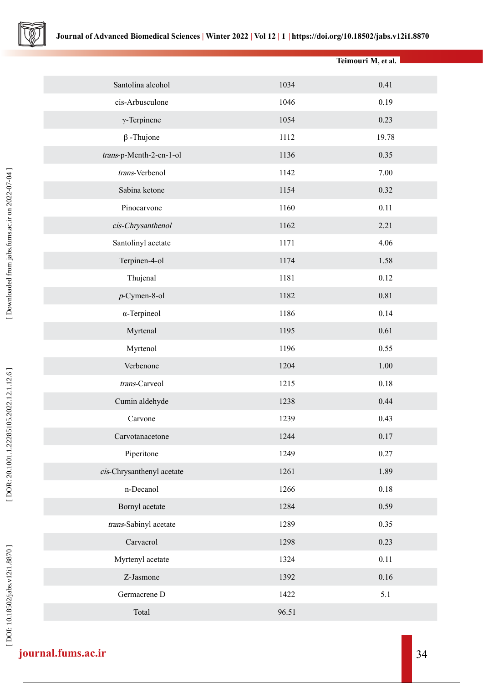

|                           |       | Teimouri M, et al. |
|---------------------------|-------|--------------------|
| Santolina alcohol         | 1034  | 0.41               |
| cis-Arbusculone           | 1046  | 0.19               |
| $\gamma$ -Terpinene       | 1054  | 0.23               |
| $\beta$ -Thujone          | 1112  | 19.78              |
| trans-p-Menth-2-en-1-ol   | 1136  | 0.35               |
| trans-Verbenol            | 1142  | 7.00               |
| Sabina ketone             | 1154  | 0.32               |
| Pinocarvone               | 1160  | 0.11               |
| cis-Chrysanthenol         | 1162  | 2.21               |
| Santolinyl acetate        | 1171  | 4.06               |
| Terpinen-4-ol             | 1174  | 1.58               |
| Thujenal                  | 1181  | 0.12               |
| $p$ -Cymen-8-ol           | 1182  | 0.81               |
| $\alpha$ -Terpineol       | 1186  | 0.14               |
| Myrtenal                  | 1195  | 0.61               |
| Myrtenol                  | 1196  | 0.55               |
| Verbenone                 | 1204  | 1.00               |
| trans-Carveol             | 1215  | 0.18               |
| Cumin aldehyde            | 1238  | 0.44               |
| Carvone                   | 1239  | 0.43               |
| Carvotanacetone           | 1244  | 0.17               |
| Piperitone                | 1249  | 0.27               |
| cis-Chrysanthenyl acetate | 1261  | 1.89               |
| n-Decanol                 | 1266  | $0.18\,$           |
| Bornyl acetate            | 1284  | 0.59               |
| trans-Sabinyl acetate     | 1289  | 0.35               |
| Carvacrol                 | 1298  | 0.23               |
| Myrtenyl acetate          | 1324  | 0.11               |
| Z-Jasmone                 | 1392  | 0.16               |
| Germacrene D              | 1422  | 5.1                |
| Total                     | 96.51 |                    |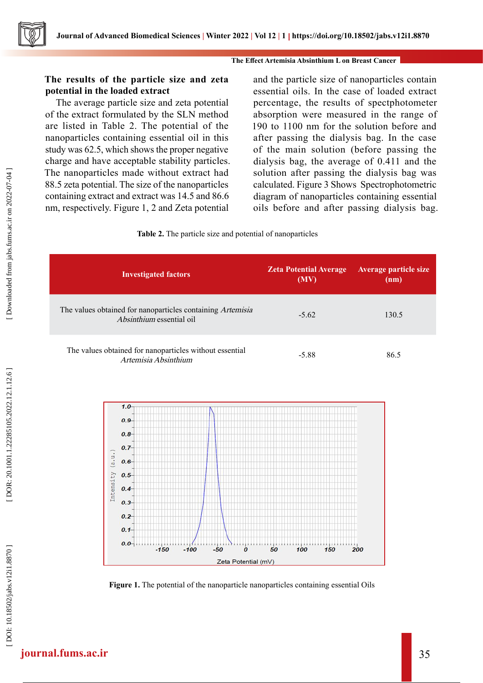## **The results of the particle size and zeta potential in the loaded extract**

The average particle size and zeta potential of the extract formulated by the SLN method are listed in Table 2. The potential of the nanoparticles containing essential oil in this study was 62.5, which shows the proper negative charge and have acceptable stability particles. The nanoparticles made without extract had 88.5 zeta potential. The size of the nanoparticles containing extract and extract was 14.5 and 86.6 nm, respectively. Figure 1, 2 and Zeta potential

and the particle size of nanoparticles contain essential oils. In the case of loaded extract percentage, the results of spectphotometer absorption were measured in the range of 190 to 1100 nm for the solution before and after passing the dialysis bag. In the case of the main solution (before passing the dialysis bag, the average of 0.411 and the solution after passing the dialysis bag was calculated. Figure 3 Shows Spectrophotometric diagram of nanoparticles containing essential oils before and after passing dialysis bag.



| <b>Investigated factors</b>                                                            | <b>Zeta Potential Average</b><br>(MV) | <b>Average particle size</b><br>(nm) |
|----------------------------------------------------------------------------------------|---------------------------------------|--------------------------------------|
| The values obtained for nanoparticles containing Artemisia<br>Absinthium essential oil | $-5.62$                               | 130.5                                |
| The values obtained for nanoparticles without essential<br>Artemisia Absinthium        | $-5.88$                               | 86.5                                 |



**Figure 1.** The potential of the nanoparticle nanoparticles containing essential Oils

# **journal.fums.ac.ir** 35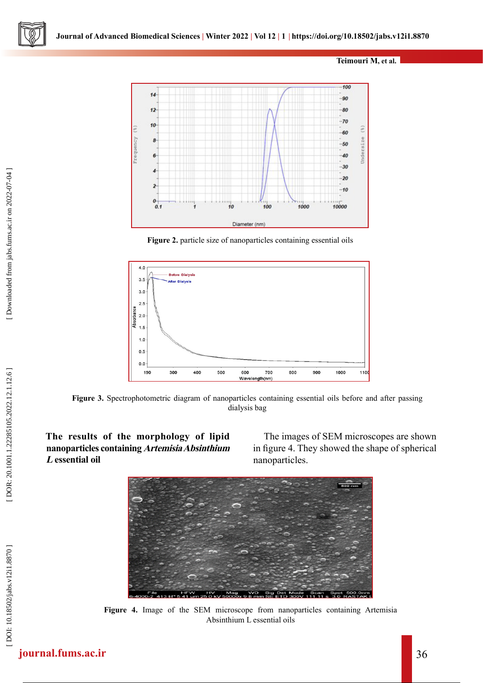**Teimouri M, et al.**



**Figure 2.** particle size of nanoparticles containing essential oils



**Figure 3.** Spectrophotometric diagram of nanoparticles containing essential oils before and after passing dialysis bag

**The results of the morphology of lipid nanoparticles containing Artemisia Absinthium <sup>L</sup> essential oil**

The images of SEM microscopes are shown in figure 4. They showed the shape of spherical nanoparticles.



**Figure 4.** Image of the SEM microscope from nanoparticles containing Artemisia Absinthium L essential oils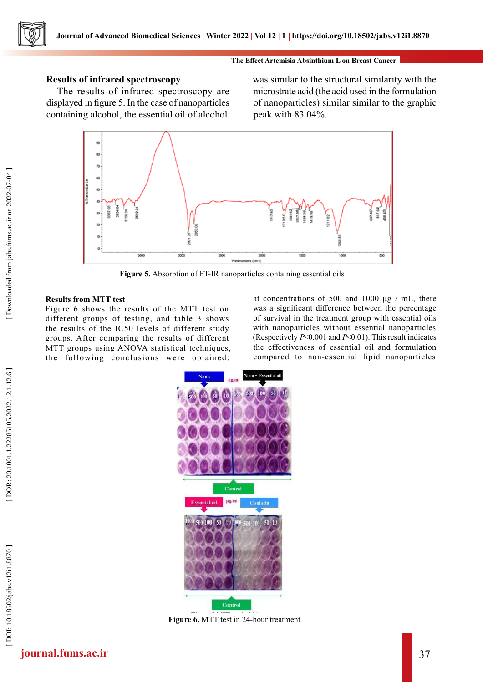

## **Results of infrared spectroscopy**

The results of infrared spectroscopy are displayed in figure 5. In the case of nanoparticles containing alcohol, the essential oil of alcohol

was similar to the structural similarity with the microstrate acid (the acid used in the formulation of nanoparticles) similar similar to the graphic peak with 83.04%.



**Figure 5.** Absorption of FT-IR nanoparticles containing essential oils

#### **Results from MTT test**

Figure 6 shows the results of the MTT test on different groups of testing, and table 3 shows the results of the IC50 levels of different study groups. After comparing the results of different MTT groups using ANOVA statistical techniques, the following conclusions were obtained:

at concentrations of 500 and 1000 μg / mL, there was a significant difference between the percentage of survival in the treatment group with essential oils with nanoparticles without essential nanoparticles. (Respectively  $P< 0.001$  and  $P< 0.01$ ). This result indicates the effectiveness of essential oil and formulation compared to non-essential lipid nanoparticles.



**Figure 6.** MTT test in 24-hour treatment

[Downloaded from jabs.fums.ac.ir on 2022-07-04]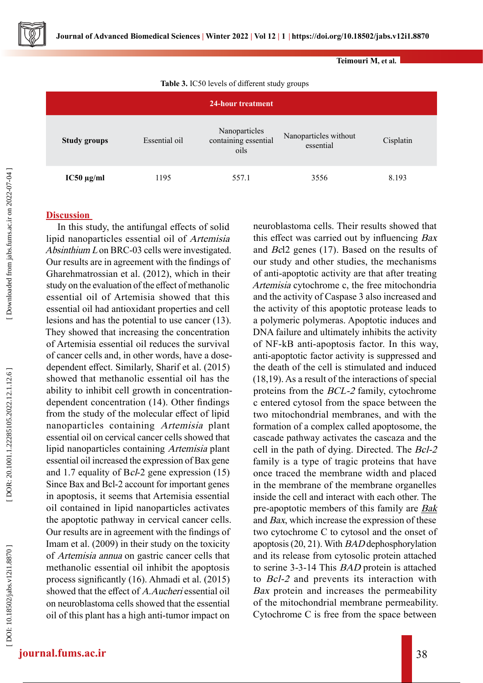

**Teimouri M, et al.**

**Table 3.** IC50 levels of different study groups

| 24-hour treatment   |               |                                               |                                    |           |  |
|---------------------|---------------|-----------------------------------------------|------------------------------------|-----------|--|
| <b>Study groups</b> | Essential oil | Nanoparticles<br>containing essential<br>oils | Nanoparticles without<br>essential | Cisplatin |  |
| $IC50 \mu g/ml$     | 1195          | 557.1                                         | 3556                               | 8.193     |  |

# **Discussion**

In this study, the antifungal effects of solid lipid nanoparticles essential oil of Artemisia Absinthium L on BRC-03 cells were investigated. Our results are in agreement with the findings of Gharehmatrossian et al. (2012), which in their study on the evaluation of the effect of methanolic essential oil of Artemisia showed that this essential oil had antioxidant properties and cell lesions and has the potential to use cancer (13). They showed that increasing the concentration of Artemisia essential oil reduces the survival of cancer cells and, in other words, have a dosedependent effect. Similarly, Sharif et al. (2015) showed that methanolic essential oil has the ability to inhibit cell growth in concentrationdependent concentration (14). Other findings from the study of the molecular effect of lipid nanoparticles containing Artemisia plant essential oil on cervical cancer cells showed that lipid nanoparticles containing Artemisia plant essential oil increased the expression of Bax gene and 1.7 equality of Bcl-2 gene expression (15) Since Bax and Bcl-2 account for important genes in apoptosis, it seems that Artemisia essential oil contained in lipid nanoparticles activates the apoptotic pathway in cervical cancer cells. Our results are in agreement with the findings of Imam et al. (2009) in their study on the toxicity of Artemisia annua on gastric cancer cells that methanolic essential oil inhibit the apoptosis process significantly (16). Ahmadi et al. (2015) showed that the effect of A.Aucheri essential oil on neuroblastoma cells showed that the essential oil of this plant has a high anti-tumor impact on

neuroblastoma cells. Their results showed that this effect was carried out by influencing Bax and Bcl2 genes (17). Based on the results of our study and other studies, the mechanisms of anti-apoptotic activity are that after treating Artemisia cytochrome c, the free mitochondria and the activity of Caspase 3 also increased and the activity of this apoptotic protease leads to a polymeric polymeras. Apoptotic induces and DNA failure and ultimately inhibits the activity of NF-kB anti-apoptosis factor. In this way, anti-apoptotic factor activity is suppressed and the death of the cell is stimulated and induced (18,19). As a result of the interactions of special proteins from the BCL-2 family, cytochrome c entered cytosol from the space between the two mitochondrial membranes, and with the formation of a complex called apoptosome, the cascade pathway activates the cascaza and the cell in the path of dying. Directed. The Bcl-2 family is a type of tragic proteins that have once traced the membrane width and placed in the membrane of the membrane organelles inside the cell and interact with each other. The pre-apoptotic members of this family are **Bak** and Bax, which increase the expression of these two cytochrome C to cytosol and the onset of apoptosis (20, 21). With BAD dephosphorylation and its release from cytosolic protein attached to serine 3-3-14 This BAD protein is attached to Bcl-2 and prevents its interaction with Bax protein and increases the permeability of the mitochondrial membrane permeability. Cytochrome C is free from the space between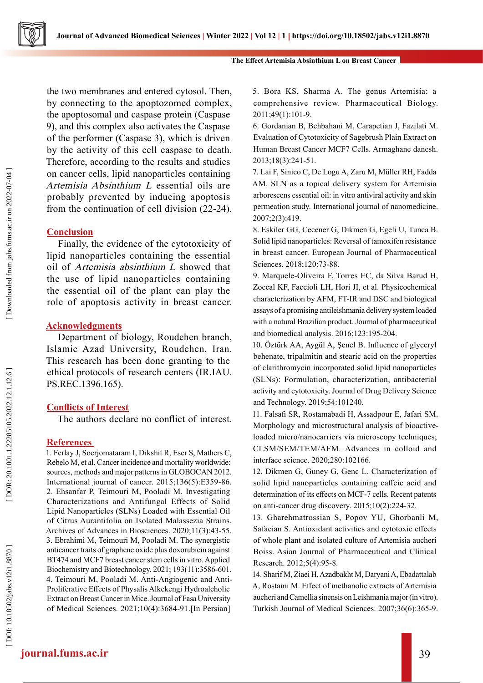

the two membranes and entered cytosol. Then, by connecting to the apoptozomed complex, the apoptosomal and caspase protein (Caspase 9), and this complex also activates the Caspase of the performer (Caspase 3), which is driven by the activity of this cell caspase to death. Therefore, according to the results and studies on cancer cells, lipid nanoparticles containing Artemisia Absinthium L essential oils are probably prevented by inducing apoptosis from the continuation of cell division (22-24).

# **Conclusion**

Finally, the evidence of the cytotoxicity of lipid nanoparticles containing the essential oil of Artemisia absinthium L showed that the use of lipid nanoparticles containing the essential oil of the plant can play the role of apoptosis activity in breast cancer.

# **Acknowledgments**

Department of biology, Roudehen branch, Islamic Azad University, Roudehen, Iran. This research has been done granting to the ethical protocols of research centers (IR.IAU. PS.REC.1396.165).

# **Conflicts of Interest**

The authors declare no conflict of interest.

## **References**

1. Ferlay J, Soerjomataram I, Dikshit R, Eser S, Mathers C, Rebelo M, et al. Cancer incidence and mortality worldwide: sources, methods and major patterns in GLOBOCAN 2012. International journal of cancer. 2015;136(5):E359-86. 2. Ehsanfar P, Teimouri M, Pooladi M. Investigating Characterizations and Antifungal Effects of Solid Lipid Nanoparticles (SLNs) Loaded with Essential Oil of Citrus Aurantifolia on Isolated Malassezia Strains. Archives of Advances in Biosciences. 2020;11(3):43-55. 3. Ebrahimi M, Teimouri M, Pooladi M. The synergistic anticancer traits of graphene oxide plus doxorubicin against BT474 and MCF7 breast cancer stem cells in vitro. Applied Biochemistry and Biotechnology. 2021; 193(11):3586-601. 4. Teimouri M, Pooladi M. Anti-Angiogenic and Anti-Proliferative Effects of Physalis Alkekengi Hydroalcholic Extract on Breast Cancer in Mice. Journal of Fasa University of Medical Sciences. 2021;10(4):3684-91.[In Persian]

5. Bora KS, Sharma A. The genus Artemisia: a comprehensive review. Pharmaceutical Biology. 2011;49(1):101-9.

6. Gordanian B, Behbahani M, Carapetian J, Fazilati M. Evaluation of Cytotoxicity of Sagebrush Plain Extract on Human Breast Cancer MCF7 Cells. Armaghane danesh. 2013;18(3):241-51.

7. Lai F, Sinico C, De Logu A, Zaru M, Müller RH, Fadda AM. SLN as a topical delivery system for Artemisia arborescens essential oil: in vitro antiviral activity and skin permeation study. International journal of nanomedicine. 2007;2(3):419.

8. Eskiler GG, Cecener G, Dikmen G, Egeli U, Tunca B. Solid lipid nanoparticles: Reversal of tamoxifen resistance in breast cancer. European Journal of Pharmaceutical Sciences. 2018;120:73-88.

9. Marquele-Oliveira F, Torres EC, da Silva Barud H, Zoccal KF, Faccioli LH, Hori JI, et al. Physicochemical characterization by AFM, FT-IR and DSC and biological assays of a promising antileishmania delivery system loaded with a natural Brazilian product. Journal of pharmaceutical and biomedical analysis. 2016;123:195-204.

10. Öztürk AA, Aygül A, Şenel B. Influence of glyceryl behenate, tripalmitin and stearic acid on the properties of clarithromycin incorporated solid lipid nanoparticles (SLNs): Formulation, characterization, antibacterial activity and cytotoxicity. Journal of Drug Delivery Science and Technology. 2019;54:101240.

11. Falsafi SR, Rostamabadi H, Assadpour E, Jafari SM. Morphology and microstructural analysis of bioactiveloaded micro/nanocarriers via microscopy techniques; CLSM/SEM/TEM/AFM. Advances in colloid and interface science. 2020;280:102166.

12. Dikmen G, Guney G, Genc L. Characterization of solid lipid nanoparticles containing caffeic acid and determination of its effects on MCF-7 cells. Recent patents on anti-cancer drug discovery. 2015;10(2):224-32.

13. Gharehmatrossian S, Popov YU, Ghorbanli M, Safaeian S. Antioxidant activities and cytotoxic effects of whole plant and isolated culture of Artemisia aucheri Boiss. Asian Journal of Pharmaceutical and Clinical Research. 2012;5(4):95-8.

14. Sharif M, Ziaei H, Azadbakht M, Daryani A, Ebadattalab A, Rostami M. Effect of methanolic extracts of Artemisia aucheri and Camellia sinensis on Leishmania major (in vitro). Turkish Journal of Medical Sciences. 2007;36(6):365-9.